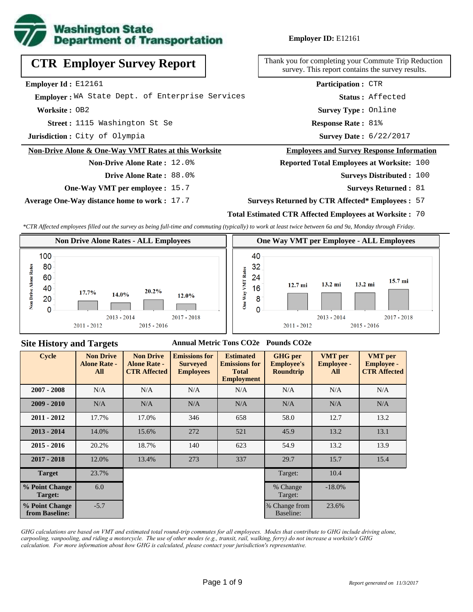

**Employer ID:** E12161

|  | <b>CTR Employer Survey Report</b> |  |  |
|--|-----------------------------------|--|--|
|--|-----------------------------------|--|--|

**Employer Id :** E12161

 **Employer :** WA State Dept. of Enterprise Services

**Worksite :** OB2

1115 Washington St Se **Response Rate : Street :**

**Jurisdiction :** City of Olympia

#### **Non-Drive Alone & One-Way VMT Rates at this Worksite**

**Drive Alone Rate :** 88.0%

**Non-Drive Alone Rate :** 12.0%

**One-Way VMT per employee :** 15.7

**Average One-Way distance home to work :** 17.7

Thank you for completing your Commute Trip Reduction survey. This report contains the survey results.

> Response Rate: 81% **Survey Type :** Online **Status :** Affected **Participation :** CTR

Survey Date: 6/22/2017

#### **Employees and Survey Response Information**

**Reported Total Employees at Worksite:** 100

- Surveys Distributed : 100
	- **Surveys Returned :** 81

### **Surveys Returned by CTR Affected\* Employees :** 57

## **Total Estimated CTR Affected Employees at Worksite :** 70

*\*CTR Affected employees filled out the survey as being full-time and commuting (typically) to work at least twice between 6a and 9a, Monday through Friday.*



## **Site History and Targets**

### **Annual Metric Tons CO2e Pounds CO2e**

| <b>Cycle</b>                     | <b>Non Drive</b><br><b>Alone Rate -</b><br>All | <b>Non Drive</b><br><b>Alone Rate -</b><br><b>CTR Affected</b> | <b>Emissions for</b><br><b>Surveyed</b><br><b>Employees</b> | <b>Estimated</b><br><b>Emissions for</b><br><b>Total</b><br><b>Employment</b> | <b>GHG</b> per<br><b>Employee's</b><br><b>Roundtrip</b> | <b>VMT</b> per<br><b>Employee -</b><br>All | <b>VMT</b> per<br><b>Employee -</b><br><b>CTR Affected</b> |
|----------------------------------|------------------------------------------------|----------------------------------------------------------------|-------------------------------------------------------------|-------------------------------------------------------------------------------|---------------------------------------------------------|--------------------------------------------|------------------------------------------------------------|
| $2007 - 2008$                    | N/A                                            | N/A                                                            | N/A                                                         | N/A                                                                           | N/A                                                     | N/A                                        | N/A                                                        |
| $2009 - 2010$                    | N/A                                            | N/A                                                            | N/A                                                         | N/A                                                                           | N/A                                                     | N/A                                        | N/A                                                        |
| $2011 - 2012$                    | 17.7%                                          | 17.0%                                                          | 346                                                         | 658                                                                           | 58.0                                                    | 12.7                                       | 13.2                                                       |
| $2013 - 2014$                    | 14.0%                                          | 15.6%                                                          | 272                                                         | 521                                                                           | 45.9                                                    | 13.2                                       | 13.1                                                       |
| $2015 - 2016$                    | 20.2%                                          | 18.7%                                                          | 140                                                         | 623                                                                           | 54.9                                                    | 13.2                                       | 13.9                                                       |
| $2017 - 2018$                    | 12.0%                                          | 13.4%                                                          | 273                                                         | 337                                                                           | 29.7                                                    | 15.7                                       | 15.4                                                       |
| <b>Target</b>                    | 23.7%                                          |                                                                |                                                             |                                                                               | Target:                                                 | 10.4                                       |                                                            |
| % Point Change<br>Target:        | 6.0                                            |                                                                |                                                             |                                                                               | % Change<br>Target:                                     | $-18.0\%$                                  |                                                            |
| % Point Change<br>from Baseline: | $-5.7$                                         |                                                                |                                                             |                                                                               | % Change from<br>Baseline:                              | 23.6%                                      |                                                            |

*GHG calculations are based on VMT and estimated total round-trip commutes for all employees. Modes that contribute to GHG include driving alone, carpooling, vanpooling, and riding a motorcycle. The use of other modes (e.g., transit, rail, walking, ferry) do not increase a worksite's GHG calculation. For more information about how GHG is calculated, please contact your jurisdiction's representative.*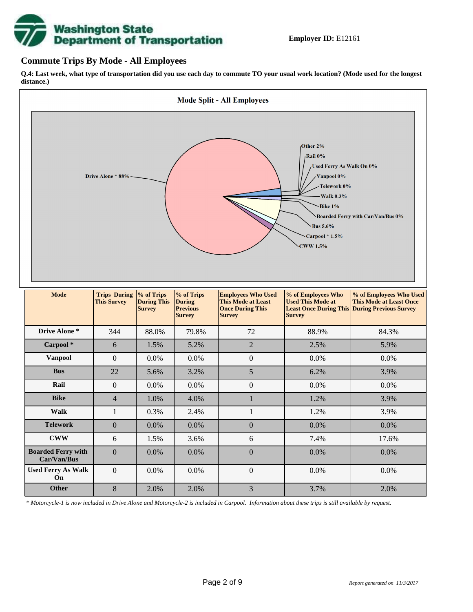# **Washington State<br>Department of Transportation**

## **Commute Trips By Mode - All Employees**

**Q.4: Last week, what type of transportation did you use each day to commute TO your usual work location? (Mode used for the longest distance.)**



*\* Motorcycle-1 is now included in Drive Alone and Motorcycle-2 is included in Carpool. Information about these trips is still available by request.*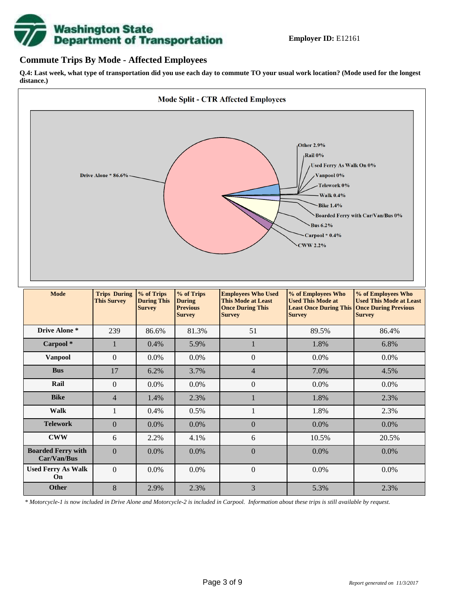

## **Commute Trips By Mode - Affected Employees**

**Q.4: Last week, what type of transportation did you use each day to commute TO your usual work location? (Mode used for the longest distance.)**



*\* Motorcycle-1 is now included in Drive Alone and Motorcycle-2 is included in Carpool. Information about these trips is still available by request.*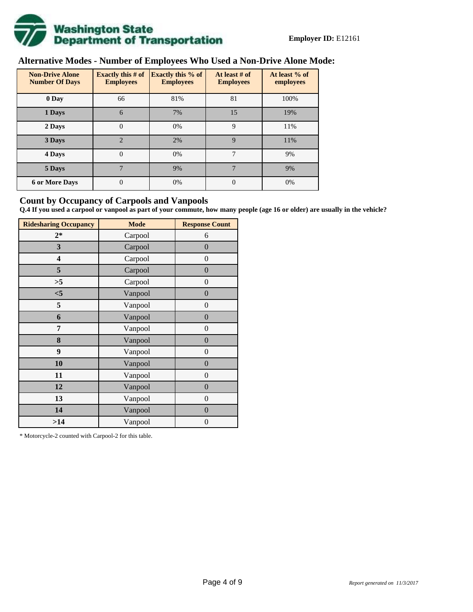

# **Alternative Modes - Number of Employees Who Used a Non-Drive Alone Mode:**

| <b>Non-Drive Alone</b><br><b>Number Of Days</b> | Exactly this $# of$<br><b>Employees</b> | <b>Exactly this % of</b><br><b>Employees</b> | At least # of<br><b>Employees</b> | At least % of<br>employees |
|-------------------------------------------------|-----------------------------------------|----------------------------------------------|-----------------------------------|----------------------------|
| 0 Day                                           | 66                                      | 81%                                          | 81                                | 100%                       |
| 1 Days                                          | 6                                       | 7%                                           | 15                                | 19%                        |
| 2 Days                                          | $\overline{0}$                          | 0%                                           | 9                                 | 11%                        |
| 3 Days                                          | $\overline{2}$                          | 2%                                           | 9                                 | 11%                        |
| 4 Days                                          | $\overline{0}$                          | 0%                                           | 7                                 | 9%                         |
| 5 Days                                          | $\mathbf{r}$                            | 9%                                           | 7                                 | 9%                         |
| <b>6 or More Days</b>                           | 0                                       | 0%                                           | $\Omega$                          | 0%                         |

## **Count by Occupancy of Carpools and Vanpools**

**Q.4 If you used a carpool or vanpool as part of your commute, how many people (age 16 or older) are usually in the vehicle?**

| <b>Ridesharing Occupancy</b> | <b>Mode</b> | <b>Response Count</b> |
|------------------------------|-------------|-----------------------|
| $2*$                         | Carpool     | 6                     |
| 3                            | Carpool     | $\boldsymbol{0}$      |
| 4                            | Carpool     | $\boldsymbol{0}$      |
| 5                            | Carpool     | $\boldsymbol{0}$      |
| >5                           | Carpool     | $\overline{0}$        |
| $<$ 5                        | Vanpool     | $\overline{0}$        |
| 5                            | Vanpool     | $\boldsymbol{0}$      |
| 6                            | Vanpool     | $\boldsymbol{0}$      |
| 7                            | Vanpool     | $\boldsymbol{0}$      |
| 8                            | Vanpool     | $\boldsymbol{0}$      |
| 9                            | Vanpool     | $\boldsymbol{0}$      |
| 10                           | Vanpool     | $\overline{0}$        |
| 11                           | Vanpool     | $\overline{0}$        |
| 12                           | Vanpool     | $\boldsymbol{0}$      |
| 13                           | Vanpool     | $\boldsymbol{0}$      |
| 14                           | Vanpool     | $\overline{0}$        |
| >14                          | Vanpool     | $\boldsymbol{0}$      |

\* Motorcycle-2 counted with Carpool-2 for this table.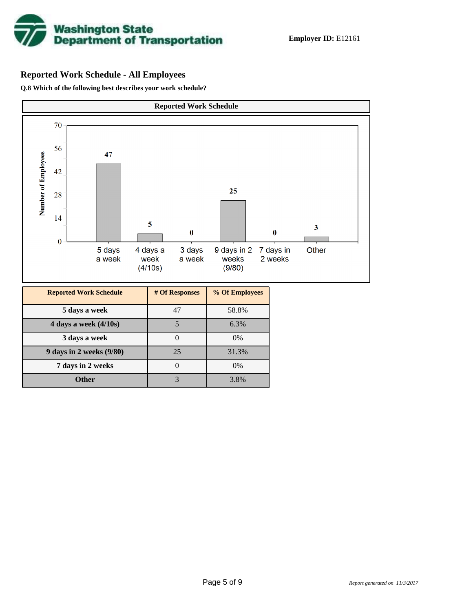

# **Reported Work Schedule - All Employees**

**Q.8 Which of the following best describes your work schedule?**

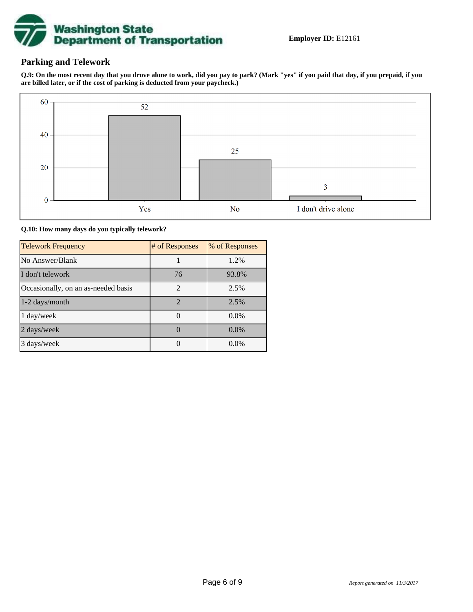

# **Parking and Telework**

**Q.9: On the most recent day that you drove alone to work, did you pay to park? (Mark "yes" if you paid that day, if you prepaid, if you are billed later, or if the cost of parking is deducted from your paycheck.)**



**Q.10: How many days do you typically telework?**

| <b>Telework Frequency</b>           | # of Responses | % of Responses |
|-------------------------------------|----------------|----------------|
| No Answer/Blank                     |                | 1.2%           |
| I don't telework                    | 76             | 93.8%          |
| Occasionally, on an as-needed basis | $\mathfrak{D}$ | 2.5%           |
| 1-2 days/month                      | 2              | 2.5%           |
| 1 day/week                          |                | $0.0\%$        |
| 2 days/week                         |                | $0.0\%$        |
| 3 days/week                         |                | $0.0\%$        |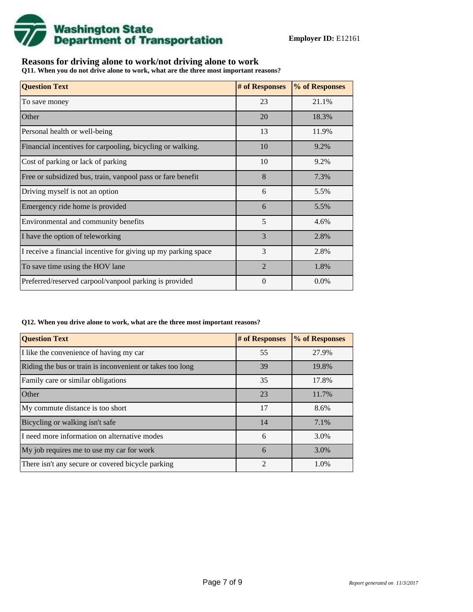

# **Reasons for driving alone to work/not driving alone to work**

**Q11. When you do not drive alone to work, what are the three most important reasons?**

| <b>Question Text</b>                                           | # of Responses | % of Responses |
|----------------------------------------------------------------|----------------|----------------|
| To save money                                                  | 23             | 21.1%          |
| Other                                                          | 20             | 18.3%          |
| Personal health or well-being                                  | 13             | 11.9%          |
| Financial incentives for carpooling, bicycling or walking.     | 10             | 9.2%           |
| Cost of parking or lack of parking                             | 10             | 9.2%           |
| Free or subsidized bus, train, vanpool pass or fare benefit    | 8              | 7.3%           |
| Driving myself is not an option                                | 6              | 5.5%           |
| Emergency ride home is provided                                | 6              | 5.5%           |
| Environmental and community benefits                           | 5              | 4.6%           |
| I have the option of teleworking                               | 3              | 2.8%           |
| I receive a financial incentive for giving up my parking space | 3              | 2.8%           |
| To save time using the HOV lane                                | $\mathfrak{D}$ | 1.8%           |
| Preferred/reserved carpool/vanpool parking is provided         | $\Omega$       | $0.0\%$        |

### **Q12. When you drive alone to work, what are the three most important reasons?**

| <b>Question Text</b>                                      | # of Responses | % of Responses |
|-----------------------------------------------------------|----------------|----------------|
| I like the convenience of having my car                   | 55             | 27.9%          |
| Riding the bus or train is inconvenient or takes too long | 39             | 19.8%          |
| Family care or similar obligations                        | 35             | 17.8%          |
| <b>Other</b>                                              | 23             | 11.7%          |
| My commute distance is too short                          | 17             | 8.6%           |
| Bicycling or walking isn't safe                           | 14             | 7.1%           |
| I need more information on alternative modes              | 6              | 3.0%           |
| My job requires me to use my car for work                 | 6              | 3.0%           |
| There isn't any secure or covered bicycle parking         | $\mathfrak{D}$ | 1.0%           |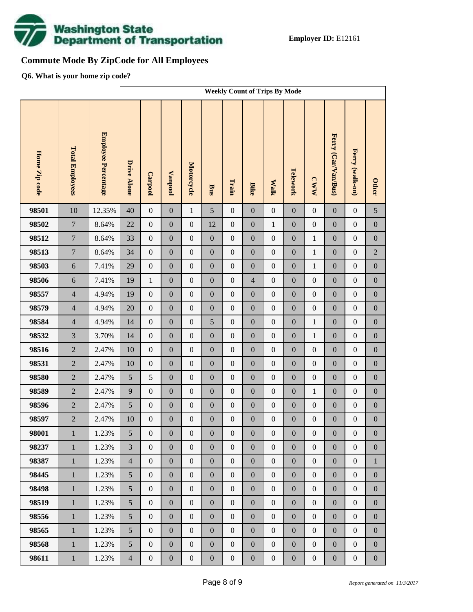

# **Commute Mode By ZipCode for All Employees**

**Q6. What is your home zip code?**

|               |                        |                     | <b>Weekly Count of Trips By Mode</b> |                  |                  |                  |                  |                  |                  |                  |                  |                  |                     |                  |                  |
|---------------|------------------------|---------------------|--------------------------------------|------------------|------------------|------------------|------------------|------------------|------------------|------------------|------------------|------------------|---------------------|------------------|------------------|
| Home Zip code | <b>Total Employees</b> | Employee Percentage | <b>Drive Alone</b>                   | Carpool          | <b>Vanpool</b>   | Motorcycle       | <b>Bus</b>       | Train            | <b>Bike</b>      | <b>Walk</b>      | Telework         | <b>CWW</b>       | Ferry (Car/Van/Bus) | Ferry (walk-on)  | <b>Other</b>     |
| 98501         | 10                     | 12.35%              | 40                                   | $\boldsymbol{0}$ | $\boldsymbol{0}$ | $\mathbf{1}$     | 5                | $\boldsymbol{0}$ | $\overline{0}$   | $\boldsymbol{0}$ | $\boldsymbol{0}$ | $\boldsymbol{0}$ | $\boldsymbol{0}$    | $\boldsymbol{0}$ | 5                |
| 98502         | $\overline{7}$         | 8.64%               | 22                                   | $\boldsymbol{0}$ | $\boldsymbol{0}$ | $\boldsymbol{0}$ | 12               | $\boldsymbol{0}$ | $\overline{0}$   | $\mathbf{1}$     | $\mathbf{0}$     | $\boldsymbol{0}$ | $\boldsymbol{0}$    | $\boldsymbol{0}$ | $\boldsymbol{0}$ |
| 98512         | $\overline{7}$         | 8.64%               | 33                                   | $\boldsymbol{0}$ | $\boldsymbol{0}$ | $\boldsymbol{0}$ | $\boldsymbol{0}$ | $\boldsymbol{0}$ | $\boldsymbol{0}$ | $\boldsymbol{0}$ | $\boldsymbol{0}$ | $\,1\,$          | $\boldsymbol{0}$    | $\boldsymbol{0}$ | $\boldsymbol{0}$ |
| 98513         | $\overline{7}$         | 8.64%               | 34                                   | $\boldsymbol{0}$ | $\boldsymbol{0}$ | $\overline{0}$   | $\boldsymbol{0}$ | $\boldsymbol{0}$ | $\overline{0}$   | $\boldsymbol{0}$ | $\mathbf{0}$     | $\mathbf{1}$     | $\boldsymbol{0}$    | $\boldsymbol{0}$ | $\sqrt{2}$       |
| 98503         | $\sqrt{6}$             | 7.41%               | 29                                   | $\boldsymbol{0}$ | $\boldsymbol{0}$ | $\boldsymbol{0}$ | $\boldsymbol{0}$ | $\boldsymbol{0}$ | $\boldsymbol{0}$ | $\boldsymbol{0}$ | $\boldsymbol{0}$ | $\,1\,$          | $\boldsymbol{0}$    | $\boldsymbol{0}$ | $\boldsymbol{0}$ |
| 98506         | 6                      | 7.41%               | 19                                   | $\mathbf{1}$     | $\boldsymbol{0}$ | $\mathbf{0}$     | $\boldsymbol{0}$ | $\boldsymbol{0}$ | $\overline{4}$   | $\boldsymbol{0}$ | $\boldsymbol{0}$ | $\boldsymbol{0}$ | $\boldsymbol{0}$    | $\boldsymbol{0}$ | $\boldsymbol{0}$ |
| 98557         | $\overline{4}$         | 4.94%               | 19                                   | $\boldsymbol{0}$ | $\boldsymbol{0}$ | $\boldsymbol{0}$ | $\boldsymbol{0}$ | $\boldsymbol{0}$ | $\boldsymbol{0}$ | $\boldsymbol{0}$ | $\boldsymbol{0}$ | $\boldsymbol{0}$ | $\boldsymbol{0}$    | $\boldsymbol{0}$ | $\boldsymbol{0}$ |
| 98579         | $\overline{4}$         | 4.94%               | 20                                   | $\boldsymbol{0}$ | $\boldsymbol{0}$ | $\mathbf{0}$     | $\boldsymbol{0}$ | $\boldsymbol{0}$ | $\overline{0}$   | $\boldsymbol{0}$ | $\boldsymbol{0}$ | $\boldsymbol{0}$ | $\boldsymbol{0}$    | $\boldsymbol{0}$ | $\boldsymbol{0}$ |
| 98584         | $\overline{4}$         | 4.94%               | 14                                   | $\boldsymbol{0}$ | $\boldsymbol{0}$ | $\boldsymbol{0}$ | 5                | $\boldsymbol{0}$ | $\boldsymbol{0}$ | $\boldsymbol{0}$ | $\boldsymbol{0}$ | $\,1\,$          | $\boldsymbol{0}$    | $\boldsymbol{0}$ | $\boldsymbol{0}$ |
| 98532         | $\overline{3}$         | 3.70%               | 14                                   | $\boldsymbol{0}$ | $\boldsymbol{0}$ | $\mathbf{0}$     | $\boldsymbol{0}$ | $\boldsymbol{0}$ | $\overline{0}$   | $\boldsymbol{0}$ | $\boldsymbol{0}$ | $\mathbf{1}$     | $\boldsymbol{0}$    | $\boldsymbol{0}$ | $\boldsymbol{0}$ |
| 98516         | $\overline{2}$         | 2.47%               | 10                                   | $\boldsymbol{0}$ | $\boldsymbol{0}$ | $\boldsymbol{0}$ | $\boldsymbol{0}$ | $\boldsymbol{0}$ | $\boldsymbol{0}$ | $\boldsymbol{0}$ | $\boldsymbol{0}$ | $\boldsymbol{0}$ | $\boldsymbol{0}$    | $\boldsymbol{0}$ | $\boldsymbol{0}$ |
| 98531         | $\overline{2}$         | 2.47%               | 10                                   | $\boldsymbol{0}$ | $\boldsymbol{0}$ | $\mathbf{0}$     | $\boldsymbol{0}$ | $\boldsymbol{0}$ | $\overline{0}$   | $\boldsymbol{0}$ | $\boldsymbol{0}$ | $\boldsymbol{0}$ | $\boldsymbol{0}$    | $\boldsymbol{0}$ | $\boldsymbol{0}$ |
| 98580         | $\overline{2}$         | 2.47%               | $\sqrt{5}$                           | 5                | $\boldsymbol{0}$ | $\boldsymbol{0}$ | $\boldsymbol{0}$ | $\boldsymbol{0}$ | $\boldsymbol{0}$ | $\boldsymbol{0}$ | $\boldsymbol{0}$ | $\boldsymbol{0}$ | $\boldsymbol{0}$    | $\boldsymbol{0}$ | $\boldsymbol{0}$ |
| 98589         | $\overline{2}$         | 2.47%               | 9                                    | $\boldsymbol{0}$ | $\boldsymbol{0}$ | $\mathbf{0}$     | $\boldsymbol{0}$ | $\boldsymbol{0}$ | $\overline{0}$   | $\boldsymbol{0}$ | $\boldsymbol{0}$ | $\,1\,$          | $\boldsymbol{0}$    | $\boldsymbol{0}$ | $\boldsymbol{0}$ |
| 98596         | $\overline{2}$         | 2.47%               | $\sqrt{5}$                           | $\boldsymbol{0}$ | $\boldsymbol{0}$ | $\boldsymbol{0}$ | $\boldsymbol{0}$ | $\boldsymbol{0}$ | $\boldsymbol{0}$ | $\boldsymbol{0}$ | $\boldsymbol{0}$ | $\boldsymbol{0}$ | $\boldsymbol{0}$    | $\boldsymbol{0}$ | $\boldsymbol{0}$ |
| 98597         | $\overline{2}$         | 2.47%               | 10                                   | $\boldsymbol{0}$ | $\boldsymbol{0}$ | $\boldsymbol{0}$ | $\boldsymbol{0}$ | $\boldsymbol{0}$ | $\boldsymbol{0}$ | $\boldsymbol{0}$ | $\boldsymbol{0}$ | $\boldsymbol{0}$ | $\boldsymbol{0}$    | $\boldsymbol{0}$ | $\boldsymbol{0}$ |
| 98001         | $\mathbf{1}$           | 1.23%               | $5\overline{)}$                      | $\mathbf{0}$     | $\boldsymbol{0}$ | $\boldsymbol{0}$ | $\boldsymbol{0}$ | $\boldsymbol{0}$ | $\mathbf{0}$     | $\boldsymbol{0}$ | $\mathbf{0}$     | $\boldsymbol{0}$ | $\boldsymbol{0}$    | $\boldsymbol{0}$ | $\boldsymbol{0}$ |
| 98237         | $\mathbf{1}$           | 1.23%               | $\overline{3}$                       | $\mathbf{0}$     | $\mathbf{0}$     | $\overline{0}$   | $\boldsymbol{0}$ | $\boldsymbol{0}$ | $\mathbf{0}$     | $\mathbf{0}$     | $\mathbf{0}$     | $\boldsymbol{0}$ | $\boldsymbol{0}$    | $\boldsymbol{0}$ | $\overline{0}$   |
| 98387         | $\mathbf{1}$           | 1.23%               | $\overline{4}$                       | $\mathbf{0}$     | $\boldsymbol{0}$ | $\boldsymbol{0}$ | $\boldsymbol{0}$ | $\boldsymbol{0}$ | $\mathbf{0}$     | $\mathbf{0}$     | $\boldsymbol{0}$ | $\boldsymbol{0}$ | $\boldsymbol{0}$    | $\boldsymbol{0}$ | $\mathbf{1}$     |
| 98445         | $\mathbf{1}$           | 1.23%               | 5                                    | $\mathbf{0}$     | $\boldsymbol{0}$ | $\boldsymbol{0}$ | $\boldsymbol{0}$ | $\boldsymbol{0}$ | $\boldsymbol{0}$ | $\mathbf{0}$     | $\mathbf{0}$     | $\boldsymbol{0}$ | $\boldsymbol{0}$    | $\boldsymbol{0}$ | $\boldsymbol{0}$ |
| 98498         | $\mathbf{1}$           | 1.23%               | 5                                    | $\mathbf{0}$     | $\boldsymbol{0}$ | $\boldsymbol{0}$ | $\boldsymbol{0}$ | $\boldsymbol{0}$ | $\mathbf{0}$     | $\mathbf{0}$     | $\boldsymbol{0}$ | $\boldsymbol{0}$ | $\boldsymbol{0}$    | $\boldsymbol{0}$ | $\boldsymbol{0}$ |
| 98519         | $\mathbf{1}$           | 1.23%               | $5\overline{)}$                      | $\mathbf{0}$     | $\boldsymbol{0}$ | $\boldsymbol{0}$ | $\boldsymbol{0}$ | $\boldsymbol{0}$ | $\boldsymbol{0}$ | $\mathbf{0}$     | $\mathbf{0}$     | $\boldsymbol{0}$ | $\boldsymbol{0}$    | $\boldsymbol{0}$ | $\boldsymbol{0}$ |
| 98556         | $\mathbf{1}$           | 1.23%               | 5                                    | $\mathbf{0}$     | $\boldsymbol{0}$ | $\mathbf{0}$     | $\boldsymbol{0}$ | $\boldsymbol{0}$ | $\mathbf{0}$     | $\boldsymbol{0}$ | $\boldsymbol{0}$ | $\boldsymbol{0}$ | $\boldsymbol{0}$    | $\boldsymbol{0}$ | $\boldsymbol{0}$ |
| 98565         | $\mathbf{1}$           | 1.23%               | $5\overline{)}$                      | $\mathbf{0}$     | $\boldsymbol{0}$ | $\boldsymbol{0}$ | $\boldsymbol{0}$ | $\boldsymbol{0}$ | $\boldsymbol{0}$ | $\boldsymbol{0}$ | $\mathbf{0}$     | $\boldsymbol{0}$ | $\boldsymbol{0}$    | $\boldsymbol{0}$ | $\boldsymbol{0}$ |
| 98568         | $\mathbf{1}$           | 1.23%               | 5                                    | $\mathbf{0}$     | $\boldsymbol{0}$ | $\boldsymbol{0}$ | $\boldsymbol{0}$ | $\boldsymbol{0}$ | $\mathbf{0}$     | $\mathbf{0}$     | $\boldsymbol{0}$ | $\boldsymbol{0}$ | $\boldsymbol{0}$    | $\boldsymbol{0}$ | $\mathbf{0}$     |
| 98611         | $\,1$                  | 1.23%               | $\overline{4}$                       | $\boldsymbol{0}$ | $\boldsymbol{0}$ | $\boldsymbol{0}$ | $\boldsymbol{0}$ | $\boldsymbol{0}$ | $\boldsymbol{0}$ | $\boldsymbol{0}$ | $\boldsymbol{0}$ | $\boldsymbol{0}$ | $\boldsymbol{0}$    | $\boldsymbol{0}$ | $\boldsymbol{0}$ |